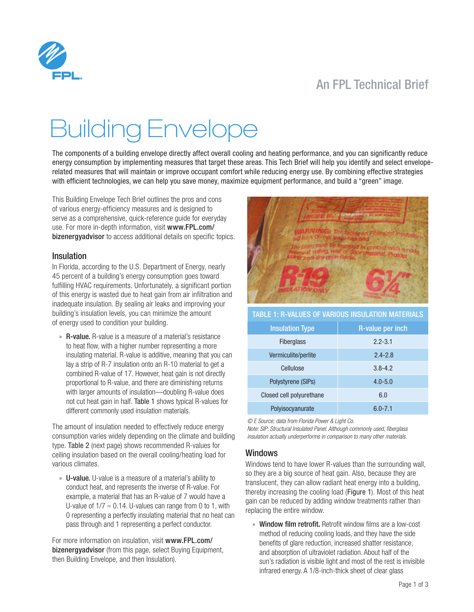## An FPL Technical Brief



# Building Envelope

The components of a building envelope directly affect overall cooling and heating performance, and you can significantly reduce energy consumption by implementing measures that target these areas. This Tech Brief will help you identify and select enveloperelated measures that will maintain or improve occupant comfort while reducing energy use. By combining effective strategies with efficient technologies, we can help you save money, maximize equipment performance, and build a "green" image.

This Building Envelope Tech Brief outlines the pros and cons of various energy-efficiency measures and is designed to serve as a comprehensive, quick-reference guide for everyday use. For more in-depth information, visit [www.FPL.com/](www.FPL.com/bizenergyadvisor) [bizenergyadvisor](www.FPL.com/bizenergyadvisor) to access additional details on specific topics.

### Insulation

In Florida, according to the U.S. Department of Energy, nearly 45 percent of a building's energy consumption goes toward fulfilling HVAC requirements. Unfortunately, a significant portion of this energy is wasted due to heat gain from air infiltration and inadequate insulation. By sealing air leaks and improving your building's insulation levels, you can minimize the amount of energy used to condition your building.

» R-value. R-value is a measure of a material's resistance to heat flow, with a higher number representing a more insulating material. R-value is additive, meaning that you can lay a strip of R-7 insulation onto an R-10 material to get a combined R-value of 17. However, heat gain is not directly proportional to R-value, and there are diminishing returns with larger amounts of insulation—doubling R-value does not cut heat gain in half. Table 1 shows typical R-values for different commonly used insulation materials.

The amount of insulation needed to effectively reduce energy consumption varies widely depending on the climate and building type. Table 2 (next page) shows recommended R-values for ceiling insulation based on the overall cooling/heating load for various climates.

» U-value. U-value is a measure of a material's ability to conduct heat, and represents the inverse of R-value. For example, a material that has an R-value of 7 would have a U-value of  $1/7 \approx 0.14$ . U-values can range from 0 to 1, with 0 representing a perfectly insulating material that no heat can pass through and 1 representing a perfect conductor.

For more information on insulation, visit [www.FPL.com/](http://www.FPL.com/bizenergyadvisor) [bizenergyadvisor](http://www.FPL.com/bizenergyadvisor) (from this page, select Buying Equipment, then Building Envelope, and then Insulation).



### TABLE 1: R-values of various insulation materials

| <b>Insulation Type</b>   | <b>R-value per inch</b> |
|--------------------------|-------------------------|
| <b>Fiberglass</b>        | $2.2 - 3.1$             |
| Vermiculite/perlite      | $2.4 - 2.8$             |
| Cellulose                | $3.8 - 4.2$             |
| Polystyrene (SIPs)       | $4.0 - 5.0$             |
| Closed cell polyurethane | 6.0                     |
| Polyisocyanurate         | $6.0 - 7.1$             |

*© E Source; data from Florida Power & Light Co.* 

*Note: SIP: Structural Insulated Panel. Although commonly used, fiberglass insulation actually underperforms in comparison to many other materials.*

### Windows

Windows tend to have lower R-values than the surrounding wall, so they are a big source of heat gain. Also, because they are translucent, they can allow radiant heat energy into a building, thereby increasing the cooling load (Figure 1). Most of this heat gain can be reduced by adding window treatments rather than replacing the entire window.

» Window film retrofit. Retrofit window films are a low-cost method of reducing cooling loads, and they have the side benefits of glare reduction, increased shatter resistance, and absorption of ultraviolet radiation. About half of the sun's radiation is visible light and most of the rest is invisible infrared energy. A 1/8-inch-thick sheet of clear glass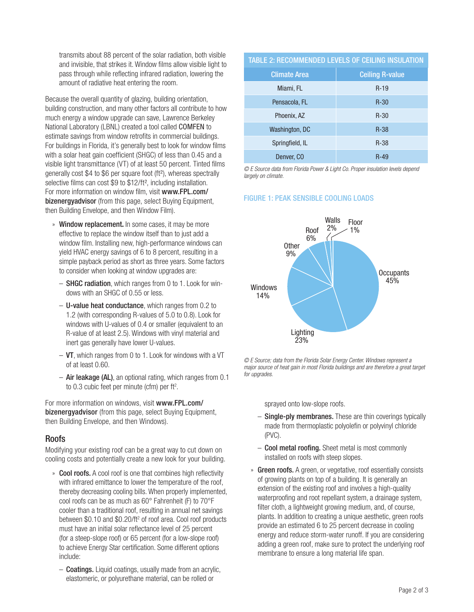transmits about 88 percent of the solar radiation, both visible and invisible, that strikes it. Window films allow visible light to pass through while reflecting infrared radiation, lowering the amount of radiative heat entering the room.

Because the overall quantity of glazing, building orientation, building construction, and many other factors all contribute to how much energy a window upgrade can save, Lawrence Berkeley National Laboratory (LBNL) created a tool called COMFEN to estimate savings from window retrofits in commercial buildings. For buildings in Florida, it's generally best to look for window films with a solar heat gain coefficient (SHGC) of less than 0.45 and a visible light transmittance (VT) of at least 50 percent. Tinted films generally cost \$4 to \$6 per square foot (ft²), whereas spectrally selective films can cost \$9 to \$12/ft<sup>2</sup>, including installation. For more information on window film, visit [www.FPL.com/](www.FPL.com/bizenergyadvisor) [bizenergyadvisor](www.FPL.com/bizenergyadvisor) (from this page, select Buying Equipment, then Building Envelope, and then Window Film).

- » Window replacement. In some cases, it may be more effective to replace the window itself than to just add a window film. Installing new, high-performance windows can yield HVAC energy savings of 6 to 8 percent, resulting in a simple payback period as short as three years. Some factors to consider when looking at window upgrades are:
	- SHGC radiation, which ranges from 0 to 1. Look for windows with an SHGC of 0.55 or less.
	- U-value heat conductance, which ranges from 0.2 to 1.2 (with corresponding R-values of 5.0 to 0.8). Look for windows with U-values of 0.4 or smaller (equivalent to an R-value of at least 2.5). Windows with vinyl material and inert gas generally have lower U-values.
	- $-$  VT, which ranges from 0 to 1. Look for windows with a VT of at least 0.60.
	- Air leakage (AL), an optional rating, which ranges from 0.1 to  $0.3$  cubic feet per minute (cfm) per ft<sup>2</sup>.

For more information on windows, visit [www.FPL.com/](www.FPL.com/bizenergyadvisor) [bizenergyadvisor](www.FPL.com/bizenergyadvisor) (from this page, select Buying Equipment, then Building Envelope, and then Windows).

### Roofs

Modifying your existing roof can be a great way to cut down on cooling costs and potentially create a new look for your building.

- » Cool roofs. A cool roof is one that combines high reflectivity with infrared emittance to lower the temperature of the roof, thereby decreasing cooling bills. When properly implemented, cool roofs can be as much as 60° Fahrenheit (F) to 70°F cooler than a traditional roof, resulting in annual net savings between \$0.10 and \$0.20/ft<sup>2</sup> of roof area. Cool roof products must have an initial solar reflectance level of 25 percent (for a steep-slope roof) or 65 percent (for a low-slope roof) to achieve Energy Star certification. Some different options include:
	- Coatings. Liquid coatings, usually made from an acrylic, elastomeric, or polyurethane material, can be rolled or

### TABLE 2: RECOMMENDED LEVELS OF CEILING INSULATION

| <b>Climate Area</b> | <b>Ceiling R-value</b> |
|---------------------|------------------------|
| Miami, FL           | $R-19$                 |
| Pensacola, FL       | $R-30$                 |
| Phoenix, AZ         | $R-30$                 |
| Washington, DC      | $R-38$                 |
| Springfield, IL     | $R-38$                 |
| Denver, CO          | R-49                   |

*© E Source data from Florida Power & Light Co. Proper insulation levels depend largely on climate.*

### FIGURE 1: PEAK SENSIBLE COOLING LOADS



*© E Source; data from the Florida Solar Energy Center. Windows represent a major source of heat gain in most Florida buildings and are therefore a great target for upgrades.*

sprayed onto low-slope roofs.

- Single-ply membranes. These are thin coverings typically made from thermoplastic polyolefin or polyvinyl chloride (PVC).
- Cool metal roofing. Sheet metal is most commonly installed on roofs with steep slopes.
- » Green roofs. A green, or vegetative, roof essentially consists of growing plants on top of a building. It is generally an extension of the existing roof and involves a high-quality waterproofing and root repellant system, a drainage system, filter cloth, a lightweight growing medium, and, of course, plants. In addition to creating a unique aesthetic, green roofs provide an estimated 6 to 25 percent decrease in cooling energy and reduce storm-water runoff. If you are considering adding a green roof, make sure to protect the underlying roof membrane to ensure a long material life span.